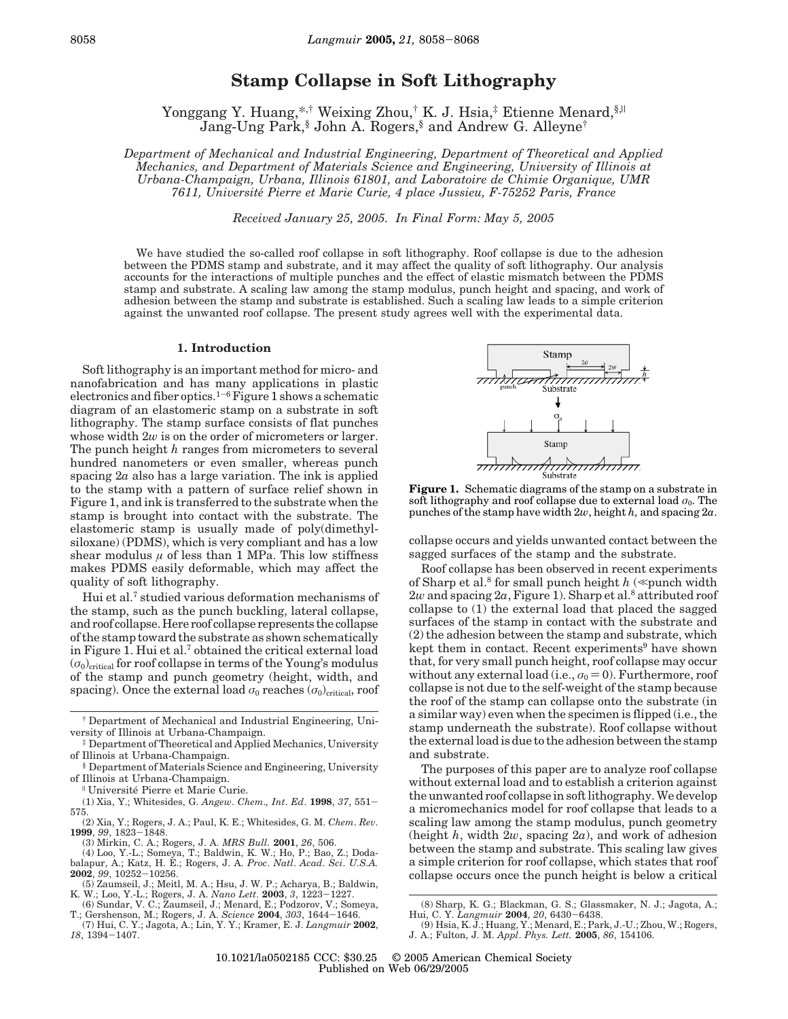# **Stamp Collapse in Soft Lithography**

Yonggang Y. Huang,\*,† Weixing Zhou,† K. J. Hsia,‡ Etienne Menard, §,|| Jang-Ung Park,§ John A. Rogers,§ and Andrew G. Alleyne†

*Department of Mechanical and Industrial Engineering, Department of Theoretical and Applied Mechanics, and Department of Materials Science and Engineering, University of Illinois at Urbana-Champaign, Urbana, Illinois 61801, and Laboratoire de Chimie Organique, UMR 7611, Universite*´ *Pierre et Marie Curie, 4 place Jussieu, F-75252 Paris, France*

*Received January 25, 2005. In Final Form: May 5, 2005*

We have studied the so-called roof collapse in soft lithography. Roof collapse is due to the adhesion between the PDMS stamp and substrate, and it may affect the quality of soft lithography. Our analysis accounts for the interactions of multiple punches and the effect of elastic mismatch between the PDMS stamp and substrate. A scaling law among the stamp modulus, punch height and spacing, and work of adhesion between the stamp and substrate is established. Such a scaling law leads to a simple criterion against the unwanted roof collapse. The present study agrees well with the experimental data.

#### **1. Introduction**

Soft lithography is an important method for micro- and nanofabrication and has many applications in plastic electronics and fiber optics.<sup>1-6</sup> Figure 1 shows a schematic diagram of an elastomeric stamp on a substrate in soft lithography. The stamp surface consists of flat punches whose width  $2w$  is on the order of micrometers or larger. The punch height *h* ranges from micrometers to several hundred nanometers or even smaller, whereas punch spacing 2*a* also has a large variation. The ink is applied to the stamp with a pattern of surface relief shown in Figure 1, and ink is transferred to the substrate when the stamp is brought into contact with the substrate. The elastomeric stamp is usually made of poly(dimethylsiloxane) (PDMS), which is very compliant and has a low shear modulus  $\mu$  of less than 1 MPa. This low stiffness makes PDMS easily deformable, which may affect the quality of soft lithography.

Hui et al.7 studied various deformation mechanisms of the stamp, such as the punch buckling, lateral collapse, and roof collapse. Here roof collapse represents the collapse of the stamp toward the substrate as shown schematically in Figure 1. Hui et al.7 obtained the critical external load  $(\sigma_0)$ <sub>critical</sub> for roof collapse in terms of the Young's modulus of the stamp and punch geometry (height, width, and spacing). Once the external load  $\sigma_0$  reaches  $(\sigma_0)$ <sub>critical</sub>, roof

<sup>Il</sup> Université Pierre et Marie Curie.

(1) Xia, Y.; Whitesides, G. *Angew*. *Chem*.*, Int*. *Ed*. **<sup>1998</sup>**, *<sup>37</sup>*, 551- 575.

- (2) Xia, Y.; Rogers, J. A.; Paul, K. E.; Whitesides, G. M. *Chem*. *Rev*. **<sup>1999</sup>**, *<sup>99</sup>*, 1823-1848.
	- (3) Mirkin, C. A.; Rogers, J. A. *MRS Bull.* **2001**, *26*, 506.

(4) Loo, Y.-L.; Someya, T.; Baldwin, K. W.; Ho, P.; Bao, Z.; Doda-balapur, A.; Katz, H. E.; Rogers, J. A. *Proc*. *Natl*. *Acad*. *Sci*. *U.S.A.*

- **<sup>2002</sup>**, *<sup>99</sup>*, 10252-10256. (5) Zaumseil, J.; Meitl, M. A.; Hsu, J. W. P.; Acharya, B.; Baldwin, K. W.; Loo, Y.-L.; Rogers, J. A. *Nano Lett*. **<sup>2003</sup>**, *<sup>3</sup>*, 1223-1227.
- (6) Sundar, V. C.; Zaumseil, J.; Menard, E.; Podzorov, V.; Someya, T.; Gershenson, M.; Rogers, J. A. *Science* **<sup>2004</sup>**, *<sup>303</sup>*, 1644-1646.





**Figure 1.** Schematic diagrams of the stamp on a substrate in soft lithography and roof collapse due to external load  $\sigma_0$ . The punches of the stamp have width 2*w*, height *h,* and spacing 2*a*.

collapse occurs and yields unwanted contact between the sagged surfaces of the stamp and the substrate.

Roof collapse has been observed in recent experiments of Sharp et al.<sup>8</sup> for small punch height  $h \ll$  punch width  $2w$  and spacing  $2a$ , Figure 1). Sharp et al.<sup>8</sup> attributed roof collapse to (1) the external load that placed the sagged surfaces of the stamp in contact with the substrate and (2) the adhesion between the stamp and substrate, which kept them in contact. Recent experiments<sup>9</sup> have shown that, for very small punch height, roof collapse may occur without any external load (i.e.,  $\sigma_0 = 0$ ). Furthermore, roof collapse is not due to the self-weight of the stamp because the roof of the stamp can collapse onto the substrate (in a similar way) even when the specimen is flipped (i.e., the stamp underneath the substrate). Roof collapse without the external load is due to the adhesion between the stamp and substrate.

The purposes of this paper are to analyze roof collapse without external load and to establish a criterion against the unwanted roof collapse in soft lithography. We develop a micromechanics model for roof collapse that leads to a scaling law among the stamp modulus, punch geometry (height *h*, width 2*w*, spacing 2*a*), and work of adhesion between the stamp and substrate. This scaling law gives a simple criterion for roof collapse, which states that roof collapse occurs once the punch height is below a critical

<sup>†</sup> Department of Mechanical and Industrial Engineering, University of Illinois at Urbana-Champaign.

<sup>‡</sup> Department of Theoretical and Applied Mechanics, University of Illinois at Urbana-Champaign.

<sup>§</sup> Department of Materials Science and Engineering, University

<sup>(8)</sup> Sharp, K. G.; Blackman, G. S.; Glassmaker, N. J.; Jagota, A.; Hui, C. Y. *Langmuir* **<sup>2004</sup>**, *<sup>20</sup>*, 6430-6438. (9) Hsia, K. J.; Huang, Y.; Menard, E.; Park, J.-U.; Zhou, W.; Rogers,

J. A.; Fulton, J. M. *Appl*. *Phys. Lett.* **2005**, *86*, 154106.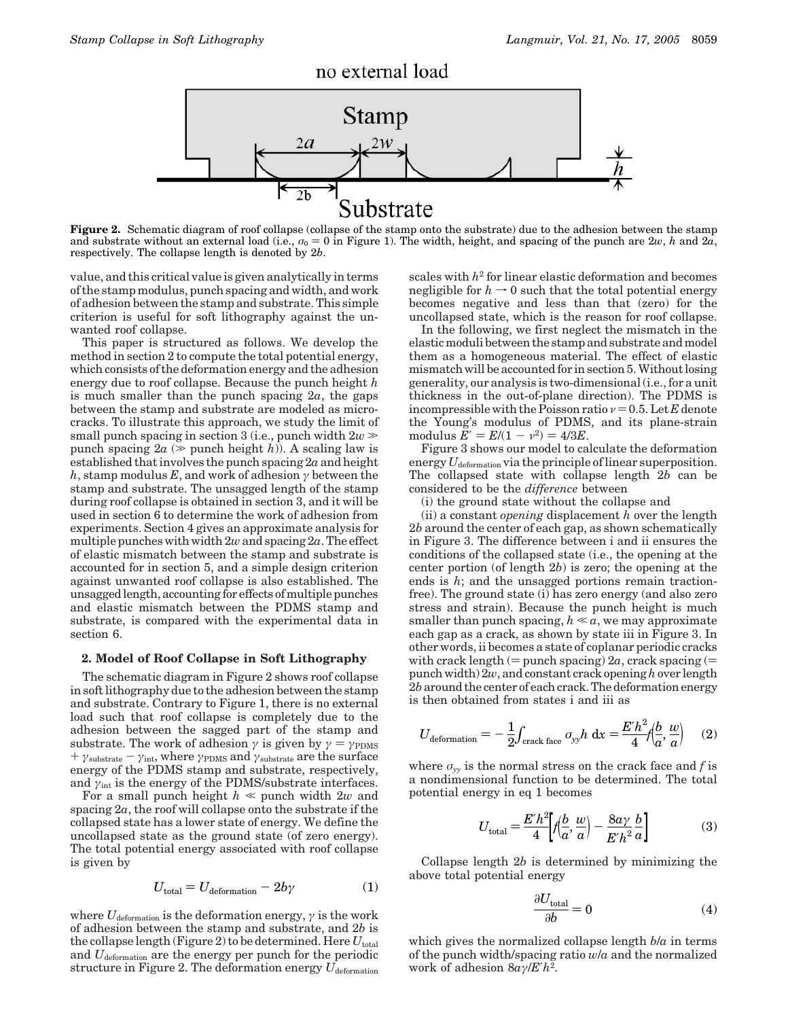

**Figure 2.** Schematic diagram of roof collapse (collapse of the stamp onto the substrate) due to the adhesion between the stamp and substrate without an external load (i.e.,  $\sigma_0 = 0$  in Figure 1). The width, height, and spacing of the punch are  $2w$ , *h* and  $2\bar{a}$ , respectively. The collapse length is denoted by 2*b*.

value, and this critical value is given analytically in terms of the stamp modulus, punch spacing and width, and work of adhesion between the stamp and substrate. This simple criterion is useful for soft lithography against the unwanted roof collapse.

This paper is structured as follows. We develop the method in section 2 to compute the total potential energy, which consists of the deformation energy and the adhesion energy due to roof collapse. Because the punch height *h* is much smaller than the punch spacing 2*a*, the gaps between the stamp and substrate are modeled as microcracks. To illustrate this approach, we study the limit of small punch spacing in section 3 (i.e., punch width  $2w \gg$ punch spacing  $2a \approx$  punch height *h*). A scaling law is established that involves the punch spacing 2*a* and height *h*, stamp modulus *E*, and work of adhesion *γ* between the stamp and substrate. The unsagged length of the stamp during roof collapse is obtained in section 3, and it will be used in section 6 to determine the work of adhesion from experiments. Section 4 gives an approximate analysis for multiple punches with width 2*w*and spacing 2*a*. The effect of elastic mismatch between the stamp and substrate is accounted for in section 5, and a simple design criterion against unwanted roof collapse is also established. The unsagged length, accounting for effects of multiple punches and elastic mismatch between the PDMS stamp and substrate, is compared with the experimental data in section 6.

### **2. Model of Roof Collapse in Soft Lithography**

The schematic diagram in Figure 2 shows roof collapse in soft lithography due to the adhesion between the stamp and substrate. Contrary to Figure 1, there is no external load such that roof collapse is completely due to the adhesion between the sagged part of the stamp and substrate. The work of adhesion  $\gamma$  is given by  $\gamma = \gamma_{\text{PDMS}}$  $+ \gamma_{\text{substrate}} - \gamma_{\text{int}}$ , where  $\gamma_{\text{PDMS}}$  and  $\gamma_{\text{substrate}}$  are the surface energy of the PDMS stamp and substrate, respectively, and  $\gamma_{\text{int}}$  is the energy of the PDMS/substrate interfaces.

For a small punch height  $h \ll$  punch width 2*w* and spacing 2*a*, the roof will collapse onto the substrate if the collapsed state has a lower state of energy. We define the uncollapsed state as the ground state (of zero energy). The total potential energy associated with roof collapse is given by

$$
U_{\text{total}} = U_{\text{deformation}} - 2b\gamma \tag{1}
$$

where  $U_{\text{deformation}}$  is the deformation energy,  $\gamma$  is the work of adhesion between the stamp and substrate, and 2*b* is the collapse length (Figure 2) to be determined. Here  $U_{total}$ and *U*deformation are the energy per punch for the periodic structure in Figure 2. The deformation energy  $U_{\text{deformation}}$ 

scales with *h*<sup>2</sup> for linear elastic deformation and becomes negligible for  $h \to 0$  such that the total potential energy becomes negative and less than that (zero) for the uncollapsed state, which is the reason for roof collapse.

In the following, we first neglect the mismatch in the elastic moduli between the stamp and substrate and model them as a homogeneous material. The effect of elastic mismatch will be accounted for in section 5. Without losing generality, our analysis is two-dimensional (i.e., for a unit thickness in the out-of-plane direction). The PDMS is incompressible with the Poisson ratio  $\nu=0.5$ . Let *E* denote the Young's modulus of PDMS, and its plane-strain modulus  $E' = E/(1 - v^2) = 4/3E$ .

Figure 3 shows our model to calculate the deformation energy  $U_{\text{deformation}}$  via the principle of linear superposition. The collapsed state with collapse length 2*b* can be considered to be the *difference* between

(i) the ground state without the collapse and

(ii) a constant *opening* displacement *h* over the length 2*b* around the center of each gap, as shown schematically in Figure 3. The difference between i and ii ensures the conditions of the collapsed state (i.e., the opening at the center portion (of length 2*b*) is zero; the opening at the ends is *h*; and the unsagged portions remain tractionfree). The ground state (i) has zero energy (and also zero stress and strain). Because the punch height is much smaller than punch spacing,  $h \ll a$ , we may approximate each gap as a crack, as shown by state iii in Figure 3. In other words, ii becomes a state of coplanar periodic cracks with crack length (= punch spacing)  $2a$ , crack spacing (= punch width)  $2w$ , and constant crack opening h over length 2*b* around the center of each crack. The deformation energy is then obtained from states i and iii as

$$
U_{\text{deformation}} = -\frac{1}{2} \int_{\text{crack face}} \sigma_{yy} h \, \mathrm{d}x = \frac{E'h^2}{4} \Big| \Big|_{a}^{b} \frac{w}{a} \Big| \qquad (2)
$$

where  $\sigma_{\rm w}$  is the normal stress on the crack face and *f* is a nondimensional function to be determined. The total potential energy in eq 1 becomes

$$
U_{\text{total}} = \frac{E'h^2}{4} \left[ f \left( \frac{b}{a}, \frac{w}{a} \right) - \frac{8a\gamma}{E'h^2} \frac{b}{a} \right]
$$
 (3)

Collapse length 2*b* is determined by minimizing the above total potential energy

$$
\frac{\partial U_{\text{total}}}{\partial b} = 0 \tag{4}
$$

which gives the normalized collapse length *b*/*a* in terms of the punch width/spacing ratio *w*/*a* and the normalized work of adhesion 8*aγ*/*E*′*h*2.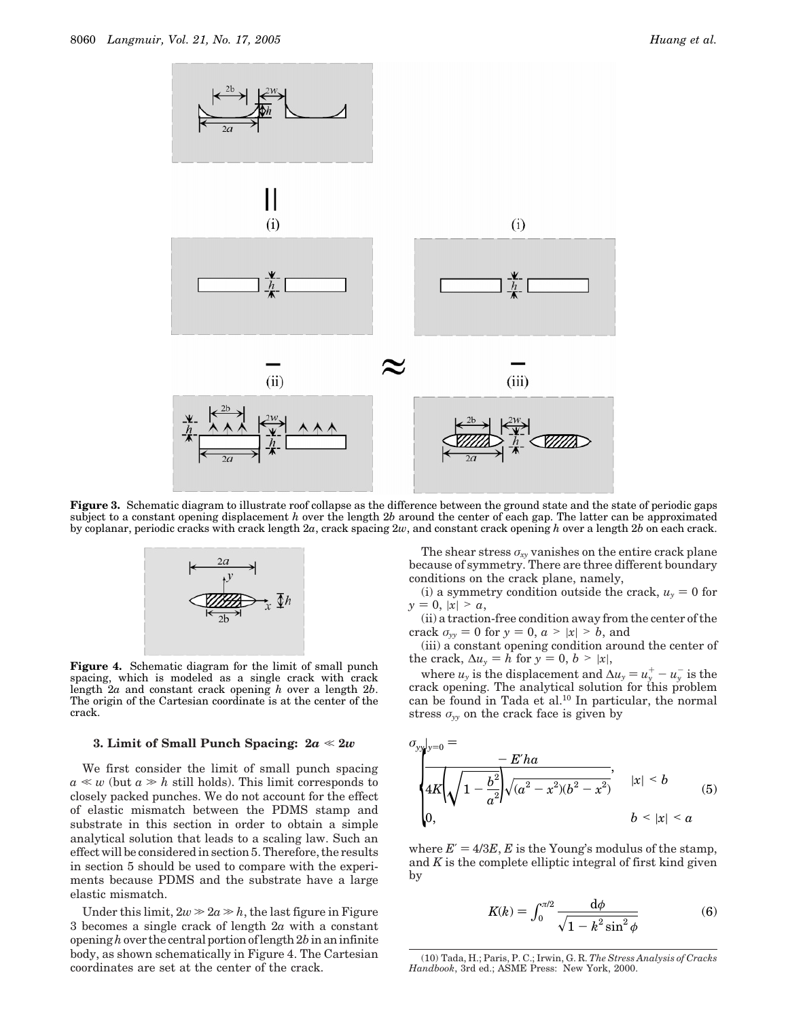

**Figure 3.** Schematic diagram to illustrate roof collapse as the difference between the ground state and the state of periodic gaps subject to a constant opening displacement *h* over the length 2*b* around the center of each gap. The latter can be approximated by coplanar, periodic cracks with crack length 2*a*, crack spacing 2*w*, and constant crack opening *h* over a length 2*b* on each crack.



**Figure 4.** Schematic diagram for the limit of small punch spacing, which is modeled as a single crack with crack length 2*a* and constant crack opening *h* over a length 2*b*. The origin of the Cartesian coordinate is at the center of the crack.

# **3. Limit of Small Punch Spacing:**  $2a \ll 2w$

We first consider the limit of small punch spacing  $a \ll w$  (but  $a \gg h$  still holds). This limit corresponds to closely packed punches. We do not account for the effect of elastic mismatch between the PDMS stamp and substrate in this section in order to obtain a simple analytical solution that leads to a scaling law. Such an effect will be considered in section 5. Therefore, the results in section 5 should be used to compare with the experiments because PDMS and the substrate have a large elastic mismatch.

Under this limit,  $2w \gg 2a \gg h$ , the last figure in Figure 3 becomes a single crack of length 2*a* with a constant opening*h*over the central portion of length 2*b* in an infinite body, as shown schematically in Figure 4. The Cartesian coordinates are set at the center of the crack.

The shear stress  $\sigma_{xy}$  vanishes on the entire crack plane because of symmetry. There are three different boundary conditions on the crack plane, namely,

(i) a symmetry condition outside the crack,  $u_y = 0$  for  $y = 0, |x| > a$ ,

(ii) a traction-free condition away from the center of the crack  $\sigma_{yy} = 0$  for  $y = 0$ ,  $a > |x| > b$ , and

(iii) a constant opening condition around the center of the crack,  $\Delta u_y = h$  for  $y = 0, b > |x|$ ,

where *u<sub>y</sub>* is the displacement and  $\Delta u_y = u_y^+ - u_y^-$  is the ack opening. The analytical solution for this problem crack opening. The analytical solution for this problem can be found in Tada et al.10 In particular, the normal stress *σyy* on the crack face is given by

$$
\sigma_{yy}|_{y=0} = -E'ha
$$
\n
$$
\begin{cases}\n4K\left(\sqrt{1 - \frac{b^2}{a^2}}\right)\sqrt{(a^2 - x^2)(b^2 - x^2)}, & |x| < b \\
0, & b < |x| < a\n\end{cases}
$$
\n(5)

where  $E' = 4/3E$ , *E* is the Young's modulus of the stamp, and *K* is the complete elliptic integral of first kind given by

$$
K(k) = \int_0^{\pi/2} \frac{\mathrm{d}\phi}{\sqrt{1 - k^2 \sin^2 \phi}}
$$
(6)

<sup>(10)</sup> Tada, H.; Paris, P. C.; Irwin, G. R. *The Stress Analysis of Cracks Handbook*, 3rd ed.; ASME Press: New York, 2000.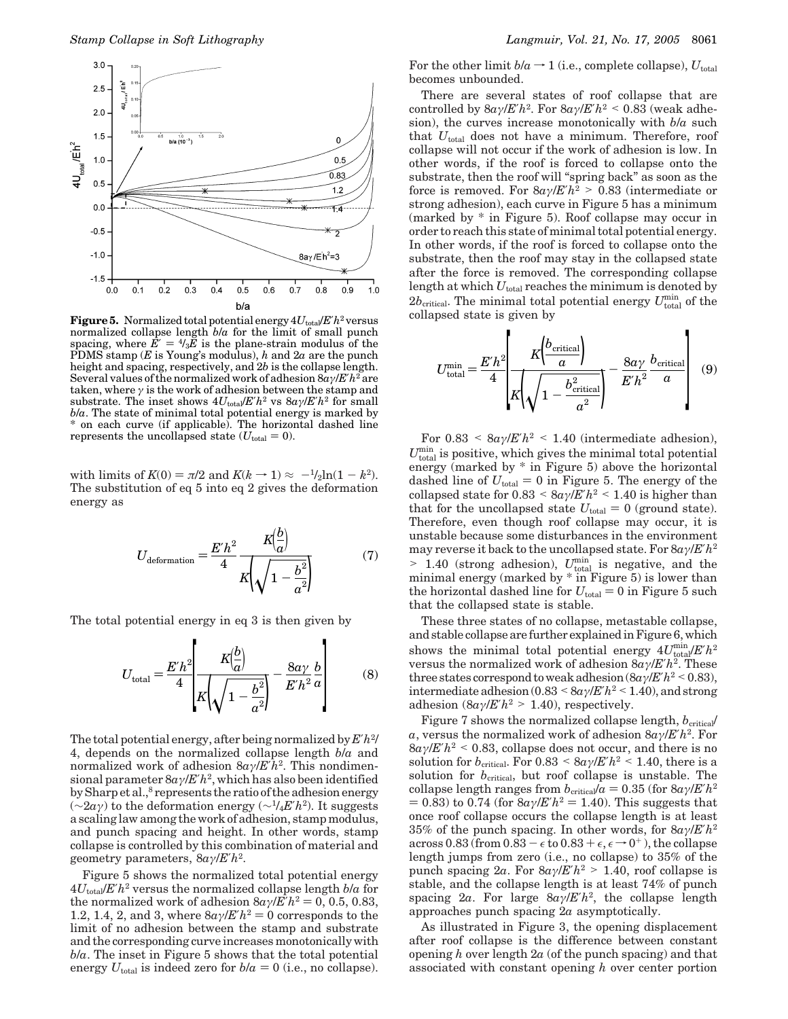

**Figure 5.** Normalized total potential energy 4*U*total/*E*′*h*<sup>2</sup> versus normalized collapse length *b*/*a* for the limit of small punch spacing, where  $\vec{E}' = {}^4i_3 \vec{E}$  is the plane-strain modulus of the PDMS stamp (*E* is Young's modulus), *h* and 2*a* are the punch height and spacing, respectively, and 2*b* is the collapse length. Several values of the normalized work of adhesion 8*aγ*/*E*′*h*<sup>2</sup> are taken, where *γ* is the work of adhesion between the stamp and substrate. The inset shows  $4U_{\text{total}}/E'h^2$  vs  $8a/\sqrt{E'h^2}$  for small *b*/*a*. The state of minimal total potential energy is marked by \* on each curve (if applicable). The horizontal dashed line represents the uncollapsed state  $(U_{total} = 0)$ .

with limits of  $K(0) = \pi/2$  and  $K(k \rightarrow 1) \approx -\frac{1}{2}\ln(1 - k^2)$ . The substitution of eq 5 into eq 2 gives the deformation energy as

$$
U_{\text{deformation}} = \frac{E'h^2}{4} \frac{K(\frac{b}{a})}{K(\sqrt{1 - \frac{b^2}{a^2}})}
$$
(7)

The total potential energy in eq 3 is then given by

$$
U_{\text{total}} = \frac{E'h^2}{4} \left[ \frac{K(\frac{b}{a})}{K(\sqrt{1 - \frac{b^2}{a^2}})} - \frac{8a\gamma}{E'h^2} \frac{b}{a} \right]
$$
(8)

The total potential energy, after being normalized by *E*′*h*2/ 4, depends on the normalized collapse length *b*/*a* and normalized work of adhesion 8*aγ*/*E*′*h*2. This nondimensional parameter 8*aγ*/*E*′*h*2, which has also been identified by Sharp et al.,<sup>8</sup> represents the ratio of the adhesion energy (∼2*aγ*) to the deformation energy (∼1/4*E*′*h*2). It suggests a scaling law among the work of adhesion, stamp modulus, and punch spacing and height. In other words, stamp collapse is controlled by this combination of material and geometry parameters, 8*aγ*/*E*′*h*2.

Figure 5 shows the normalized total potential energy  $4U_{\text{total}}/E'h^2$  versus the normalized collapse length  $b/a$  for the normalized work of adhesion  $8a\gamma/E'h^2 = 0$ , 0.5, 0.83, 1.2, 1.4, 2, and 3, where  $8a\gamma/E'h^2 = 0$  corresponds to the limit of no adhesion between the stamp and substrate and the corresponding curve increases monotonically with *b*/*a*. The inset in Figure 5 shows that the total potential energy  $U_{total}$  is indeed zero for  $b/a = 0$  (i.e., no collapse). For the other limit  $b/a \rightarrow 1$  (i.e., complete collapse),  $U_{total}$ becomes unbounded.

There are several states of roof collapse that are controlled by  $8a\gamma/E'h^2$ . For  $8a\gamma/E'h^2 \leq 0.83$  (weak adhesion), the curves increase monotonically with *b*/*a* such that  $U_{total}$  does not have a minimum. Therefore, roof collapse will not occur if the work of adhesion is low. In other words, if the roof is forced to collapse onto the substrate, then the roof will "spring back" as soon as the force is removed. For  $8a\gamma/E'h^2 > 0.83$  (intermediate or strong adhesion), each curve in Figure 5 has a minimum (marked by \* in Figure 5). Roof collapse may occur in order to reach this state of minimal total potential energy. In other words, if the roof is forced to collapse onto the substrate, then the roof may stay in the collapsed state after the force is removed. The corresponding collapse length at which  $U_{total}$  reaches the minimum is denoted by  $2b_{\text{critical}}$ . The minimal total potential energy  $U_{\text{total}}^{\text{min}}$  of the collapsed state is given by

$$
U_{\text{total}}^{\text{min}} = \frac{E'h^2}{4} \left[ \frac{K\left(\frac{b_{\text{critical}}}{a}\right)}{K\left(\sqrt{1 - \frac{b_{\text{critical}}^2}{a^2}}\right)} - \frac{8a\gamma}{E'h^2} \frac{b_{\text{critical}}}{a} \right] \quad (9)
$$

For  $0.83 \leq 8a\gamma/E'h^2 \leq 1.40$  (intermediate adhesion),  $U_{\text{total}}^{\min}$  is positive, which gives the minimal total potential energy (marked by \* in Figure 5) above the horizontal dashed line of  $U_{total} = 0$  in Figure 5. The energy of the collapsed state for  $0.83 \le 8a\gamma/E'h^2 \le 1.40$  is higher than that for the uncollapsed state  $U_{total} = 0$  (ground state). Therefore, even though roof collapse may occur, it is unstable because some disturbances in the environment may reverse it back to the uncollapsed state. For 8*aγ*/*E*′*h*<sup>2</sup>  $> 1.40$  (strong adhesion),  $U_{\text{total}}^{\text{min}}$  is negative, and the minimal energy (marked by  $*$  in Figure 5) is lower than minimal energy (marked by \* in Figure 5) is lower than the horizontal dashed line for  $U_{total} = 0$  in Figure 5 such that the collapsed state is stable.

These three states of no collapse, metastable collapse, and stable collapse are further explained in Figure 6, which shows the minimal total potential energy  $4U_{\text{total}}^{\text{min}}/E'h^2$ versus the normalized work of adhesion 8*aγ*/*E*′*h*2. These three states correspond to weak adhesion  $(8a\gamma/E'h^2 < 0.83)$ , intermediate adhesion (0.83 < 8*aγ*/*E'h*<sup>2</sup> < 1.40), and strong adhesion  $(8a\gamma/E'h^2 > 1.40)$ , respectively.

Figure 7 shows the normalized collapse length,  $b_{\text{critical}}$ *a*, versus the normalized work of adhesion 8*aγ*/*E*′*h*2. For  $8a\gamma$ /*E*'*h*<sup>2</sup> < 0.83, collapse does not occur, and there is no solution for  $b_{\text{critical}}$ . For  $0.83 \leq 8a\gamma/E'h^2 \leq 1.40$ , there is a solution for  $b_{\text{critical}}$ , but roof collapse is unstable. The collapse length ranges from  $b_{\text{critical}}/a = 0.35$  (for  $8a\gamma/E'h^2$  $= 0.83$ ) to 0.74 (for  $8a\gamma$ /*E*' $h^2 = 1.40$ ). This suggests that once roof collapse occurs the collapse length is at least 35% of the punch spacing. In other words, for 8*aγ*/*E*′*h*<sup>2</sup> across 0.83 (from  $0.83 - \epsilon$  to  $0.83 + \epsilon$ ,  $\epsilon \rightarrow 0^+$ ), the collapse length jumps from zero (i.e., no collapse) to 35% of the punch spacing  $2a$ . For  $8a\gamma/E'h^2 > 1.40$ , roof collapse is stable, and the collapse length is at least 74% of punch spacing 2*a*. For large 8*aγ*/*E*′*h*2, the collapse length approaches punch spacing 2*a* asymptotically.

As illustrated in Figure 3, the opening displacement after roof collapse is the difference between constant opening *h* over length 2*a* (of the punch spacing) and that associated with constant opening *h* over center portion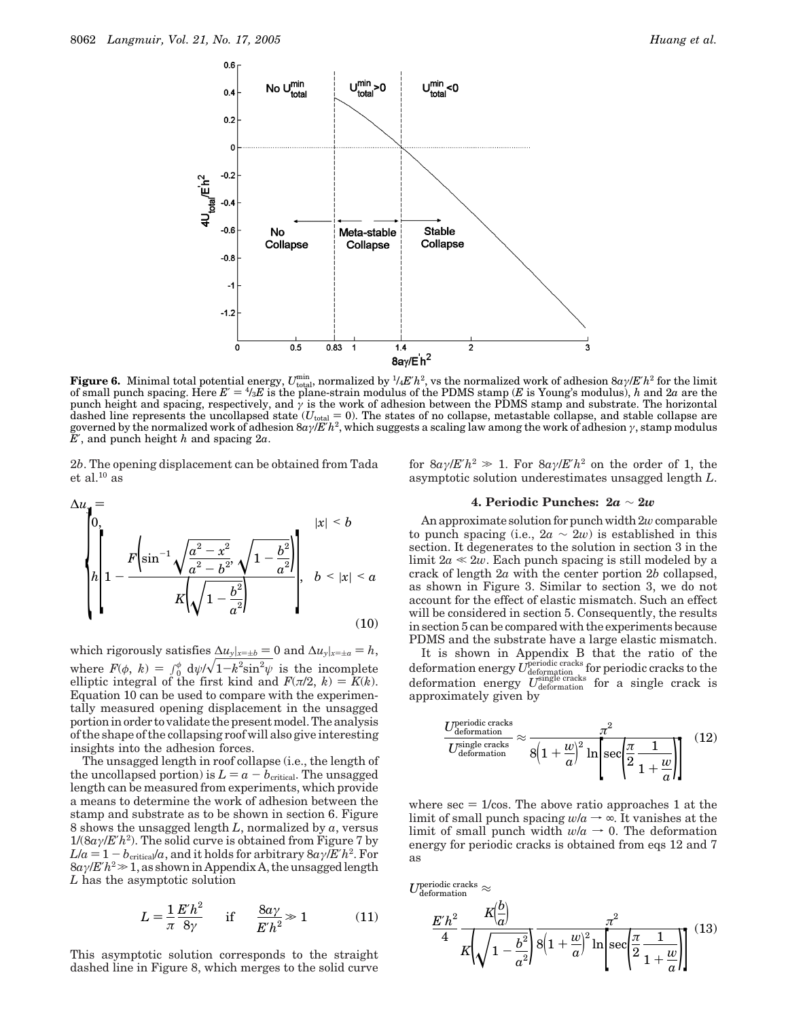

**Figure 6.** Minimal total potential energy,  $U_{\text{total}}^{\text{min}}$ , normalized by  $\frac{1}{4}E'h^2$ , vs the normalized work of adhesion  $8a\gamma/E'h^2$  for the limit of small punch spacing. Here  $E' = \frac{4}{3}E$  is the plane-strain modulus of the PDMS stamp (E is Young's modulus), h and 2a are the<br>punch height and spacing, respectively, and  $\gamma$  is the work of adhesion between the PDMS s dashed line represents the uncollapsed state  $(U_{total} = 0)$ . The states of no collapse, metastable collapse, and stable collapse are governed by the normalized work of adhesion 8*aγ*/*E*′*h*2, which suggests a scaling law among the work of adhesion *γ*, stamp modulus *E*′, and punch height *h* and spacing 2*a*.

2*b*. The opening displacement can be obtained from Tada et al. $10$  as

$$
\Delta u_y = \sqrt{\frac{b^2}{2\pi}} \left\{ \ln \left( 1 - \frac{F\left(\sin^{-1}\sqrt{\frac{a^2 - x^2}{a^2 - b^2}}, \sqrt{1 - \frac{b^2}{a^2}}\right)}{K\left(\sqrt{1 - \frac{b^2}{a^2}}\right)} \right\}, \quad b < |x| < a
$$
\n(10)

which rigorously satisfies  $\Delta u_y|_{x=\pm b} = 0$  and  $\Delta u_y|_{x=\pm a} = h$ , where  $F(\phi, k) = \int_0^{\phi} d\psi / \sqrt{1 - k^2 \sin^2 \psi}$  is the incomplete<br>ellintic integral of the first kind and  $F(\pi/2, k) = F(k)$ elliptic integral of the first kind and  $F(\pi/2, k) = K(k)$ .<br>Fouation 10 can be used to compare with the experimen-Equation 10 can be used to compare with the experimentally measured opening displacement in the unsagged portion in order to validate the present model. The analysis of the shape of the collapsing roof will also give interesting insights into the adhesion forces.

The unsagged length in roof collapse (i.e., the length of the uncollapsed portion) is  $L = a - b_{critical}$ . The unsagged length can be measured from experiments, which provide a means to determine the work of adhesion between the stamp and substrate as to be shown in section 6. Figure 8 shows the unsagged length *L*, normalized by *a*, versus  $1/(8a\gamma/E'h^2)$ . The solid curve is obtained from Figure 7 by  $L/a = 1 - b_{\text{critical}}/a$ , and it holds for arbitrary  $8a\gamma/E'h^2$ . For <sup>8</sup>*aγ*/*E*′*h*<sup>2</sup>.1, as shown in Appendix A, the unsagged length *L* has the asymptotic solution

$$
L = \frac{1}{\pi} \frac{E'h^2}{8\gamma} \quad \text{if} \quad \frac{8a\gamma}{E'h^2} \gg 1 \tag{11}
$$

This asymptotic solution corresponds to the straight dashed line in Figure 8, which merges to the solid curve for  $8a\gamma/E'h^2 \gg 1$ . For  $8a\gamma/E'h^2$  on the order of 1, the asymptotic solution underestimates unsagged length *L*.

# **4. Periodic Punches: 2***a* ∼ **2***w*

An approximate solution for punch width 2*w*comparable to punch spacing (i.e.,  $2a \sim 2w$ ) is established in this section. It degenerates to the solution in section 3 in the limit  $2a \ll 2w$ . Each punch spacing is still modeled by a crack of length 2*a* with the center portion 2*b* collapsed, as shown in Figure 3. Similar to section 3, we do not account for the effect of elastic mismatch. Such an effect will be considered in section 5. Consequently, the results in section 5 can be compared with the experiments because PDMS and the substrate have a large elastic mismatch.

It is shown in Appendix B that the ratio of the deformation energy  $U_{\text{deformation}}^{\text{periodic tracks}}$  for periodic cracks to the deformation energy  $U_{\text{deformation}}^{\text{single cracks}}$  for a single crack is approximately given by

$$
\frac{U_{\text{deformation}}^{\text{periodic tracks}}}{U_{\text{deformation}}^{\text{single tracks}}} \approx \frac{\pi^2}{8\left(1 + \frac{w}{a}\right)^2 \ln\left[\sec\left(\frac{\pi}{2}\frac{1}{1 + \frac{w}{a}}\right)\right]}
$$
(12)

where  $\sec = 1/\cos$ . The above ratio approaches 1 at the limit of small punch spacing  $w/a \rightarrow \infty$ . It vanishes at the limit of small punch width  $w/a \rightarrow 0$ . The deformation energy for periodic cracks is obtained from eqs 12 and 7 as

 $U_{\rm deformation}^{\rm periodic\,{\rm cracks}} \approx$  $E'h^2$ 4  $K\left(\frac{b}{a}\right)$ *a*)  $K\left(\sqrt{1-\frac{b^2}{a^2}}\right)$  $\pi^2$  $8(1+\frac{w}{a})$  $^{2}$ ln  $\overline{\phantom{a}}$ sec( *π* 2 1  $\frac{1}{1 + \frac{w}{a}}$  (13)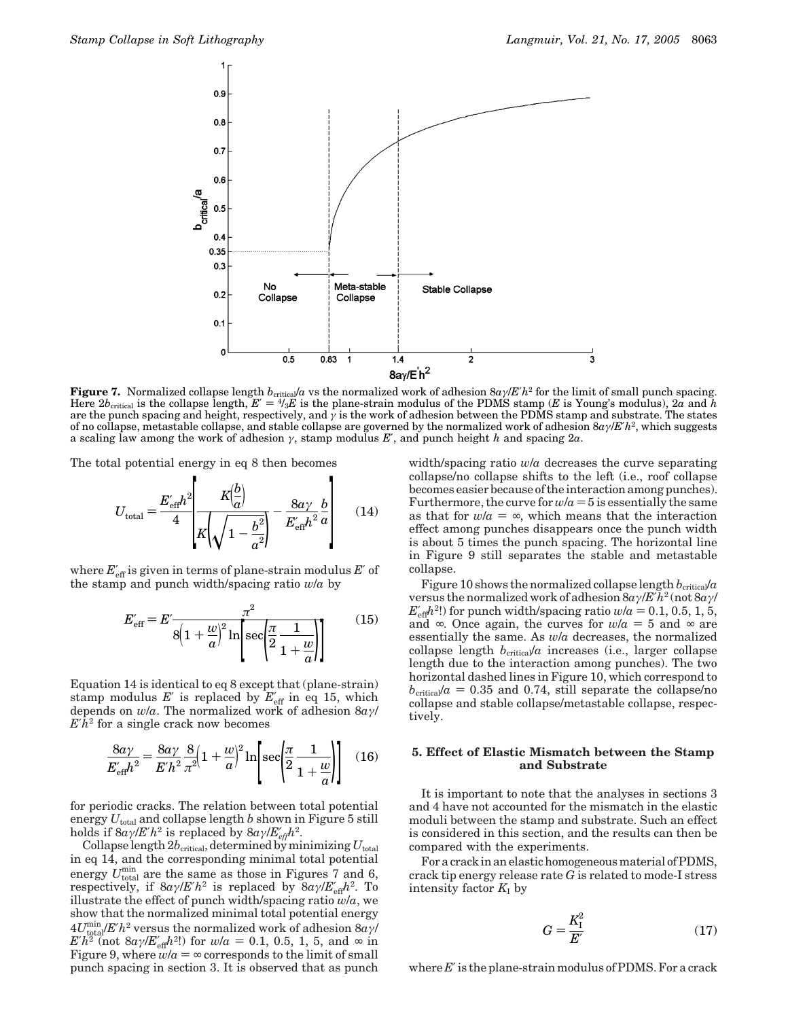

**Figure 7.** Normalized collapse length  $b_{\text{critical}}/a$  vs the normalized work of adhesion  $8a/$ */E'h*<sup>2</sup> for the limit of small punch spacing. Here  $2b_{\text{critical}}$  is the collapse length,  $E' = 4/3E$  is the plane-strain modulus of the PDMS stamp (*E* is Young's modulus),  $2a$  and *h* are the punch spacing and height, respectively, and  $\gamma$  is the work of adhesion between the PDMS stamp and substrate. The states of no collapse, metastable collapse, and stable collapse are governed by the normalized work of adhesion 8*aγ*/*E*′*h*2, which suggests a scaling law among the work of adhesion *γ*, stamp modulus *E*′, and punch height *h* and spacing 2*a*.

The total potential energy in eq 8 then becomes

$$
U_{\text{total}} = \frac{E_{\text{eff}}' h^2}{4} \left[ \frac{K(\frac{b}{a})}{K(\sqrt{1 - \frac{b^2}{a^2}})} - \frac{8a\gamma}{E_{\text{eff}}' h^2} \frac{b}{a} \right]
$$
(14)

where  $E_{\text{eff}}'$  is given in terms of plane-strain modulus  $E'$  of the stamp and punch width/spacing ratio *w*/*a* by

$$
E'_{\text{eff}} = E' \frac{\pi^2}{8\left(1 + \frac{w}{a}\right)^2 \ln\left[\sec\left(\frac{\pi}{2}\frac{1}{1 + \frac{w}{a}}\right)\right]}
$$
(15)

Equation 14 is identical to eq 8 except that (plane-strain) stamp modulus  $E'$  is replaced by  $E'_{\text{eff}}$  in eq 15, which depends on *w*/*a*. The normalized work of adhesion 8*aγ*/ *E*′*h*<sup>2</sup> for a single crack now becomes

$$
\frac{8a\gamma}{E'_{\text{eff}}h^2} = \frac{8a\gamma}{E'h^2} \frac{8}{\pi^2} \left(1 + \frac{w}{a}\right)^2 \ln\left[\sec\left(\frac{\pi}{2}\frac{1}{1 + \frac{w}{a}}\right)\right] \quad (16)
$$

for periodic cracks. The relation between total potential energy  $U_{total}$  and collapse length *b* shown in Figure 5 still holds if  $8a\gamma/E'h^2$  is replaced by  $8a\gamma/E'_{\text{eff}}h^2$ .

Collapse length  $2b_{\text{critical}}$ , determined by minimizing  $U_{\text{total}}$ in eq 14, and the corresponding minimal total potential energy  $U_{\text{total}}^{\text{min}}$  are the same as those in Figures 7 and 6, respectively, if  $8a\gamma/E'h^2$  is replaced by  $8a\gamma/E'_{\text{eff}}h^2$ . To illustrate the effect of punch width/spacing ratio *w*/*a*, we show that the normalized minimal total potential energy  $4U_{\text{total}}^{\text{min}}/E'h^2$  versus the normalized work of adhesion  $8a\gamma/\sqrt{2}$  $E'h^2$  (not  $8a\gamma/E'_{\text{eff}}h^2$ !) for  $w/a = 0.1, 0.5, 1, 5$ , and  $\infty$  in Figure 9, where  $w/a = \infty$  corresponds to the limit of small Figure 9, where  $w/a = \infty$  corresponds to the limit of small punch spacing in section 3. It is observed that as punch width/spacing ratio *w*/*a* decreases the curve separating collapse/no collapse shifts to the left (i.e., roof collapse becomes easier because of the interaction among punches). Furthermore, the curve for  $w/a = 5$  is essentially the same as that for  $w/a = \infty$ , which means that the interaction effect among punches disappears once the punch width is about 5 times the punch spacing. The horizontal line in Figure 9 still separates the stable and metastable collapse.

Figure 10 shows the normalized collapse length  $b_{\text{critical}}/a$ versus the normalized work of adhesion 8*aγ*/*E*′*h*<sup>2</sup> (not 8*aγ*/  $E'_{\text{eff}}h^{2}$ !) for punch width/spacing ratio  $w/a = 0.1, 0.5, 1, 5$ , and  $\infty$  Once again, the curves for  $w/a = 5$  and  $\infty$  are and ∞. Once again, the curves for  $w/a = 5$  and ∞ are essentially the same. As *w*/*a* decreases, the normalized collapse length  $b_{\text{critical}}/a$  increases (i.e., larger collapse length due to the interaction among punches). The two horizontal dashed lines in Figure 10, which correspond to  $b_{\text{critical}}/a = 0.35$  and 0.74, still separate the collapse/no collapse and stable collapse/metastable collapse, respectively.

# **5. Effect of Elastic Mismatch between the Stamp and Substrate**

It is important to note that the analyses in sections 3 and 4 have not accounted for the mismatch in the elastic moduli between the stamp and substrate. Such an effect is considered in this section, and the results can then be compared with the experiments.

For a crack in an elastic homogeneous material of PDMS, crack tip energy release rate *G* is related to mode-I stress intensity factor  $K_I$  by

$$
G = \frac{K_{\rm I}^2}{E'}\tag{17}
$$

where E' is the plane-strain modulus of PDMS. For a crack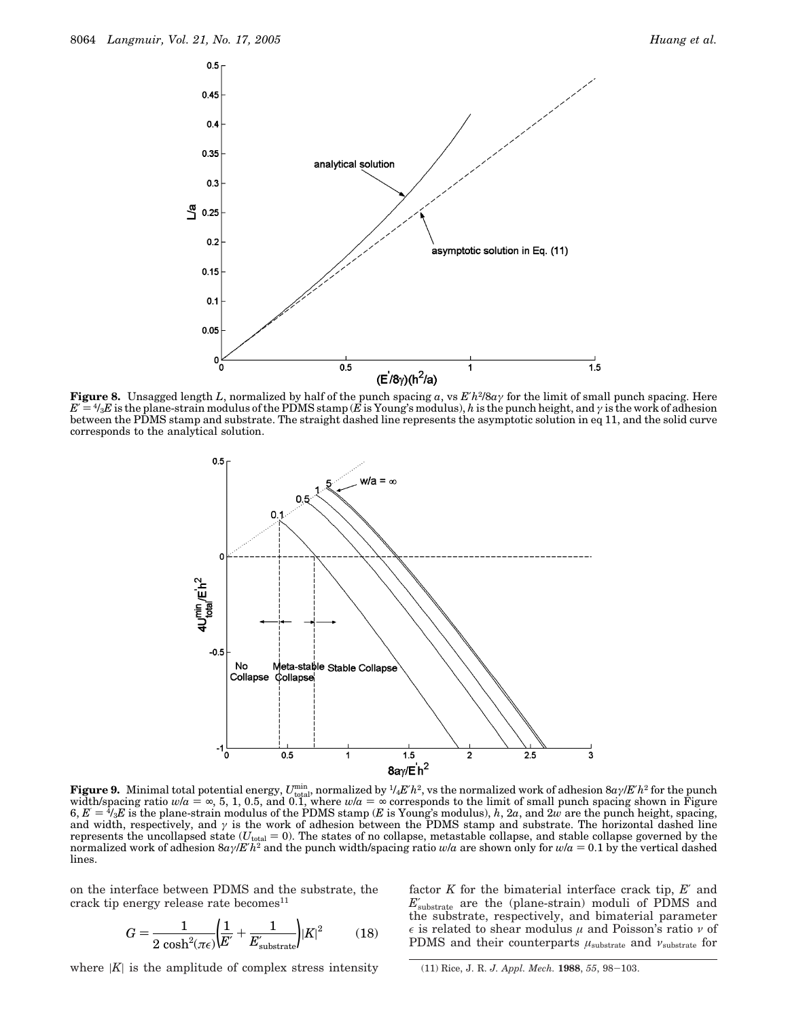

**Figure 8.** Unsagged length *L*, normalized by half of the punch spacing *a*, vs  $E'h^2/8a\gamma$  for the limit of small punch spacing. Here  $E' = \frac{4}{3}E$  is the plane-strain modulus of the PDMS stamp ( $\vec{E}$  is Young's modulus),  $h$  is the punch height, and  $\gamma$  is the work of adhesion between the PDMS stamp and substrate. The straight dashed line represents the asymptotic solution in eq 11, and the solid curve corresponds to the analytical solution.



Figure 9. Minimal total potential energy,  $U_{\rm total}^{\rm min}$ , normalized by  $^{1}\!4E'h^2$ , vs the normalized work of adhesion 8*aγ*/*E*′*h*<sup>2</sup> for the punch width/spacing ratio  $w/a = \infty$ , 5, 1, 0.5, and 0.1, where  $w/a = \infty$  corresponds to the limit of small punch spacing shown in Figure 6.  $E = \frac{4}{3}E$  is the plane-strain modulus of the PDMS stamp (E is Young's modulus). *h. 2a*  $6, E' = \frac{4}{3}E$  is the plane-strain modulus of the PDMS stamp (*E* is Young's modulus), *h*, 2*a*, and 2*w* are the punch height, spacing, and width, respectively, and  $\gamma$  is the work of adhesion between the PDMS stamp a and width, respectively, and  $\gamma$  is the work of adhesion between the PDMS stamp and substrate. The horizontal dashed line represents the uncollapsed state  $(U_{total} = 0)$ . The states of no collapse, metastable collapse, and stable collapse governed by the normalized work of adhesion 8*aγ*/*E*′*h*<sup>2</sup> and the punch width/spacing ratio *<sup>w</sup>*/*<sup>a</sup>* are shown only for *<sup>w</sup>*/*<sup>a</sup>* ) 0.1 by the vertical dashed lines.

on the interface between PDMS and the substrate, the crack tip energy release rate becomes<sup>11</sup>

$$
G = \frac{1}{2\cosh^2(\pi\epsilon)} \left(\frac{1}{E'} + \frac{1}{E'_{\text{substrate}}}\right) |K|^2 \tag{18}
$$

where  $|K|$  is the amplitude of complex stress intensity

factor *K* for the bimaterial interface crack tip, *E*′ and  $E'_{\rm substrate}$  are the (plane-strain) moduli of PDMS and the substrate, respectively, and bimaterial parameter is related to shear modulus *µ* and Poisson's ratio *ν* of PDMS and their counterparts *µ*substrate and *ν*substrate for

(11) Rice, J. R. *J. Appl. Mech.* **<sup>1988</sup>**, *<sup>55</sup>*, 98-103.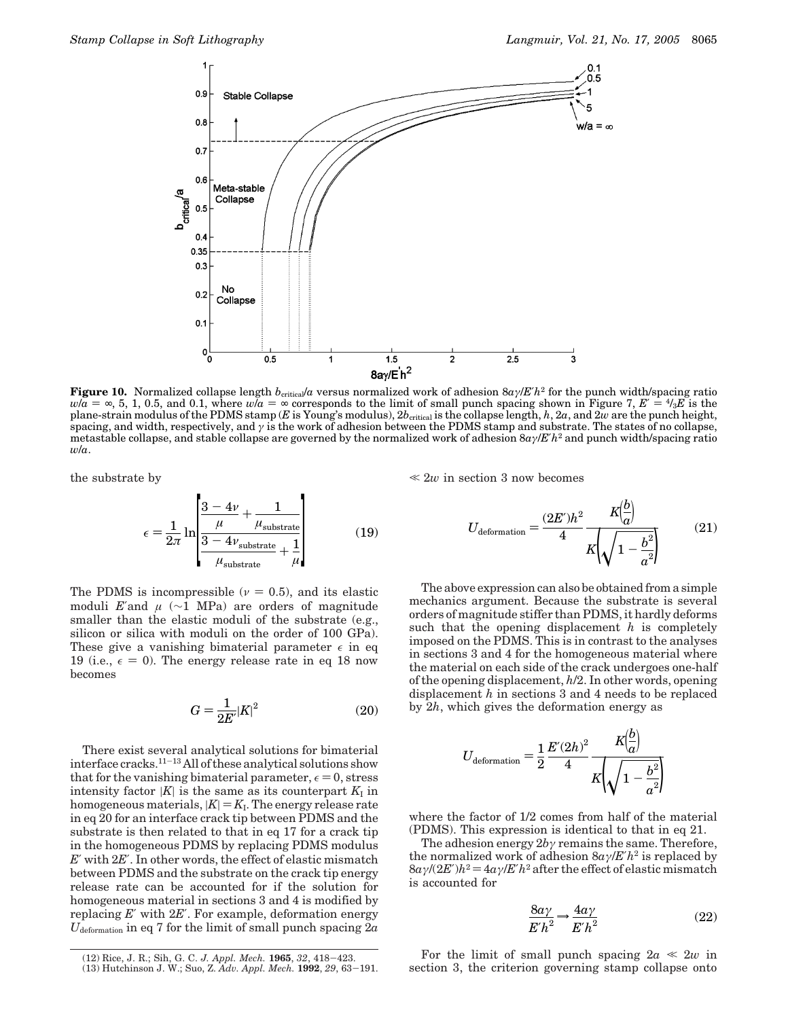

**Figure 10.** Normalized collapse length  $b_{\text{critical}}/a$  versus normalized work of adhesion  $8a/$ */E'h*<sup>2</sup> for the punch width/spacing ratio  $w/a = \infty$ , 5, 1, 0.5, and 0.1, where  $w/a = \infty$  corresponds to the limit of small punch spacing shown in Figure 7,  $E' = \frac{4}{3}E$  is the plane-strain modulus of the PDMS stamp (*E* is Young's modulus),  $2b_{\text{critical}}$  is the collapse length,  $h$ ,  $2a$ , and  $2w$  are the punch height, spacing, and width, respectively, and *γ* is the work of adhesion between the PDMS stamp and substrate. The states of no collapse, metastable collapse, and stable collapse are governed by the normalized work of adhesion 8*aγ*/*E*′*h*<sup>2</sup> and punch width/spacing ratio *w*/*a*.

the substrate by

$$
\epsilon = \frac{1}{2\pi} \ln \left[ \frac{\frac{3 - 4\nu}{\mu} + \frac{1}{\mu_{\text{substrate}}}}{\frac{3 - 4\nu_{\text{substrate}}}{\mu_{\text{substrate}}} + \frac{1}{\mu}} \right]
$$
(19)

The PDMS is incompressible ( $\nu = 0.5$ ), and its elastic moduli *E*′and  $\mu$  (~1 MPa) are orders of magnitude smaller than the elastic moduli of the substrate (e.g., silicon or silica with moduli on the order of 100 GPa). These give a vanishing bimaterial parameter  $\epsilon$  in eq 19 (i.e.,  $\epsilon = 0$ ). The energy release rate in eq 18 now becomes

$$
G = \frac{1}{2E'}|K|^2\tag{20}
$$

There exist several analytical solutions for bimaterial interface cracks.11-<sup>13</sup> All of these analytical solutions show that for the vanishing bimaterial parameter,  $\epsilon = 0$ , stress intensity factor  $|K|$  is the same as its counterpart  $K_I$  in homogeneous materials,  $|K| = K_I$ . The energy release rate in eq 20 for an interface crack tip between PDMS and the substrate is then related to that in eq 17 for a crack tip in the homogeneous PDMS by replacing PDMS modulus *E*′ with 2*E*′. In other words, the effect of elastic mismatch between PDMS and the substrate on the crack tip energy release rate can be accounted for if the solution for homogeneous material in sections 3 and 4 is modified by replacing *E*′ with 2*E*′. For example, deformation energy *U*deformation in eq 7 for the limit of small punch spacing 2*a*  $\ll 2w$  in section 3 now becomes

$$
U_{\text{deformation}} = \frac{(2E')h^2}{4} \frac{K\left(\frac{b}{a}\right)}{K\left(\sqrt{1 - \frac{b^2}{a^2}}\right)}\tag{21}
$$

The above expression can also be obtained from a simple mechanics argument. Because the substrate is several orders of magnitude stiffer than PDMS, it hardly deforms such that the opening displacement *h* is completely imposed on the PDMS. This is in contrast to the analyses in sections 3 and 4 for the homogeneous material where the material on each side of the crack undergoes one-half of the opening displacement, *h*/2. In other words, opening displacement *h* in sections 3 and 4 needs to be replaced by 2*h*, which gives the deformation energy as

$$
U_{\text{deformation}} = \frac{1}{2} \frac{E'(2h)^2}{4} \frac{K\left(\frac{\omega}{a}\right)}{K\left(\sqrt{1 - \frac{b^2}{a^2}}\right)}
$$

where the factor of 1/2 comes from half of the material (PDMS). This expression is identical to that in eq 21.

The adhesion energy 2*bγ* remains the same. Therefore, the normalized work of adhesion 8*aγ*/*E*′*h*<sup>2</sup> is replaced by  $8a\gamma/(2E')h^2 = 4a\gamma/E'h^2$  after the effect of elastic mismatch is accounted for

$$
\frac{8a\gamma}{E'h^2} \to \frac{4a\gamma}{E'h^2}
$$
 (22)

 $\mathbf{A}$ 

For the limit of small punch spacing  $2a \ll 2w$  in section 3, the criterion governing stamp collapse onto

<sup>(12)</sup> Rice, J. R.; Sih, G. C. J. Appl. Mech. 1965, 32, 418–423. **For the limit of small punch spacing**  $za \ll 2w$  **in**<br>(13) Hutchinson J. W.; Suo, Z. Adv. Appl. Mech. 1992, 29, 63–191. **Section 3**, the criterion governing stam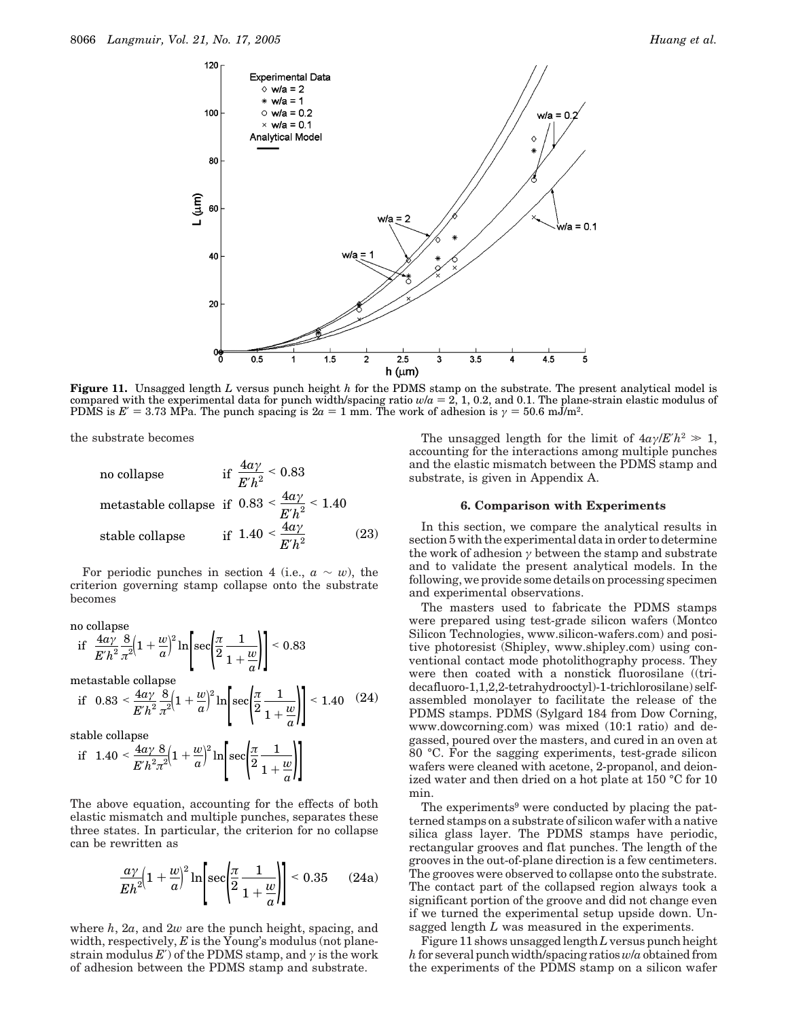

**Figure 11.** Unsagged length *L* versus punch height *h* for the PDMS stamp on the substrate. The present analytical model is compared with the experimental data for punch width/spacing ratio  $w/a = 2$ , 1, 0.2, and 0.1. The plane-strain elastic modulus of PDMS is  $E' = 3.73$  MPa. The punch spacing is  $2a = 1$  mm. The work of adhesion is  $\gamma = 50.6$  mJ/m<sup>2</sup>.

the substrate becomes

no collapse if  $\frac{4a\gamma}{E'h^2} < 0.83$ metastable collapse if  $0.83 < \frac{4a\gamma}{E'h^2} < 1.40$ stable collapse if  $1.40 < \frac{4a\gamma}{E'h^2}$  (23)

For periodic punches in section 4 (i.e.,  $a \sim w$ ), the criterion governing stamp collapse onto the substrate becomes

no collapse  
\nif 
$$
\frac{4a\gamma}{E'h^2} \frac{8}{\pi^2} \left(1 + \frac{w}{a}\right)^2 \ln \left[\sec\left(\frac{\pi}{2} \frac{1}{1 + \frac{w}{a}}\right)\right] < 0.83
$$
  
\nmetastable collapse  
\nif  $0.83 < \frac{4a\gamma}{B} \left(1 + \frac{w}{a}\right)^2 \ln \left[\sec\left(\frac{\pi}{2} \frac{1}{1 - \frac{w}{a}}\right)\right] < 1.40$ 

if 
$$
0.83 < \frac{4a\gamma}{E'h^2} \frac{8}{\pi^2} \left(1 + \frac{w}{a}\right)^2 \ln \left[\sec\left(\frac{\pi}{2} \frac{1}{1 + \frac{w}{a}}\right)\right] < 1.40
$$
 (24)

stable collapse

$$
\text{if} \quad 1.40 < \frac{4a\gamma}{E'h^2\pi^2} \left(1 + \frac{w}{a}\right)^2 \ln\left[\sec\left(\frac{\pi}{2}\frac{1}{1 + \frac{w}{a}}\right)\right]
$$

The above equation, accounting for the effects of both elastic mismatch and multiple punches, separates these three states. In particular, the criterion for no collapse can be rewritten as

$$
\frac{a\gamma}{Eh^2}\left(1+\frac{w}{a}\right)^2\ln\left[\sec\left(\frac{\pi}{2}\frac{1}{1+\frac{w}{a}}\right)\right] < 0.35 \qquad (24a)
$$

where *h*, 2*a*, and 2*w* are the punch height, spacing, and width, respectively, *E* is the Young's modulus (not planestrain modulus  $E'$ ) of the PDMS stamp, and  $\gamma$  is the work of adhesion between the PDMS stamp and substrate.

The unsagged length for the limit of  $4a\gamma/E'h^2 \gg 1$ , accounting for the interactions among multiple punches and the elastic mismatch between the PDMS stamp and substrate, is given in Appendix A.

#### **6. Comparison with Experiments**

In this section, we compare the analytical results in section 5 with the experimental data in order to determine the work of adhesion *γ* between the stamp and substrate and to validate the present analytical models. In the following, we provide some details on processing specimen and experimental observations.

The masters used to fabricate the PDMS stamps were prepared using test-grade silicon wafers (Montco Silicon Technologies, www.silicon-wafers.com) and positive photoresist (Shipley, www.shipley.com) using conventional contact mode photolithography process. They were then coated with a nonstick fluorosilane ((tridecafluoro-1,1,2,2-tetrahydrooctyl)-1-trichlorosilane) selfassembled monolayer to facilitate the release of the PDMS stamps. PDMS (Sylgard 184 from Dow Corning, www.dowcorning.com) was mixed (10:1 ratio) and degassed, poured over the masters, and cured in an oven at 80 °C. For the sagging experiments, test-grade silicon wafers were cleaned with acetone, 2-propanol, and deionized water and then dried on a hot plate at 150 °C for 10 min.

The experiments<sup>9</sup> were conducted by placing the patterned stamps on a substrate of silicon wafer with a native silica glass layer. The PDMS stamps have periodic, rectangular grooves and flat punches. The length of the grooves in the out-of-plane direction is a few centimeters. The grooves were observed to collapse onto the substrate. The contact part of the collapsed region always took a significant portion of the groove and did not change even if we turned the experimental setup upside down. Unsagged length *L* was measured in the experiments.

Figure 11 shows unsagged length*L*versus punch height *h*for several punch width/spacing ratios*w*/*a* obtained from the experiments of the PDMS stamp on a silicon wafer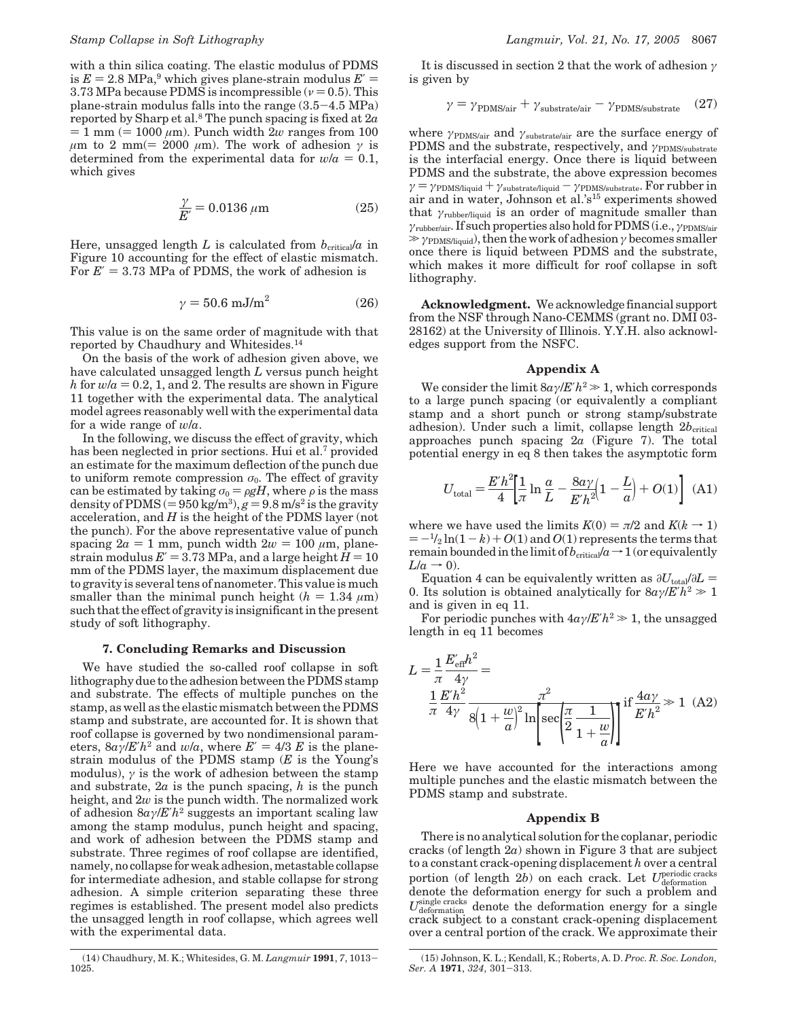with a thin silica coating. The elastic modulus of PDMS is  $E = 2.8 \text{ MPa}$ ,<sup>9</sup> which gives plane-strain modulus  $E' =$ 3.73 MPa because PDMS is incompressible  $(\nu = 0.5)$ . This plane-strain modulus falls into the range (3.5-4.5 MPa) reported by Sharp et al.8 The punch spacing is fixed at 2*a*  $= 1$  mm ( $= 1000 \mu m$ ). Punch width 2*w* ranges from 100  $μ$ m to 2 mm(= 2000  $μ$ m). The work of adhesion  $γ$  is determined from the experimental data for  $w/a = 0.1$ , which gives

$$
\frac{\gamma}{E'} = 0.0136 \,\mu\text{m} \tag{25}
$$

Here, unsagged length  $L$  is calculated from  $b_{\text{critical}}/a$  in Figure 10 accounting for the effect of elastic mismatch. For  $E' = 3.73$  MPa of PDMS, the work of adhesion is

$$
\gamma = 50.6 \text{ mJ/m}^2 \tag{26}
$$

This value is on the same order of magnitude with that reported by Chaudhury and Whitesides.14

On the basis of the work of adhesion given above, we have calculated unsagged length *L* versus punch height *h* for  $w/a = 0.2$ , 1, and 2. The results are shown in Figure 11 together with the experimental data. The analytical model agrees reasonably well with the experimental data for a wide range of *w*/*a*.

In the following, we discuss the effect of gravity, which has been neglected in prior sections. Hui et al.<sup>7</sup> provided an estimate for the maximum deflection of the punch due to uniform remote compression  $\sigma_0$ . The effect of gravity can be estimated by taking  $\sigma_0 = \rho g H$ , where  $\rho$  is the mass density of PDMS  $(= 950 \text{ kg/m}^3)$ ,  $g = 9.8 \text{ m/s}^2$  is the gravity acceleration, and *H* is the height of the PDMS layer (not the punch). For the above representative value of punch spacing  $2a = 1$  mm, punch width  $2w = 100 \ \mu m$ , planestrain modulus  $E' = 3.73$  MPa, and a large height  $H = 10$ mm of the PDMS layer, the maximum displacement due to gravity is several tens of nanometer. This value is much smaller than the minimal punch height  $(h = 1.34 \mu m)$ such that the effect of gravity is insignificant in the present study of soft lithography.

# **7. Concluding Remarks and Discussion**

We have studied the so-called roof collapse in soft lithography due to the adhesion between the PDMS stamp and substrate. The effects of multiple punches on the stamp, as well as the elastic mismatch between the PDMS stamp and substrate, are accounted for. It is shown that roof collapse is governed by two nondimensional parameters,  $8a\gamma/E'h^2$  and  $w/a$ , where  $E' = 4/3 E$  is the planestrain modulus of the PDMS stamp (*E* is the Young's modulus),  $\gamma$  is the work of adhesion between the stamp and substrate, 2*a* is the punch spacing, *h* is the punch height, and 2*w* is the punch width. The normalized work of adhesion 8*aγ*/*E*′*h*<sup>2</sup> suggests an important scaling law among the stamp modulus, punch height and spacing, and work of adhesion between the PDMS stamp and substrate. Three regimes of roof collapse are identified, namely, no collapse for weak adhesion, metastable collapse for intermediate adhesion, and stable collapse for strong adhesion. A simple criterion separating these three regimes is established. The present model also predicts the unsagged length in roof collapse, which agrees well with the experimental data.

It is discussed in section 2 that the work of adhesion *γ* is given by

$$
\gamma = \gamma_{\text{PDMS/air}} + \gamma_{\text{substrate/air}} - \gamma_{\text{PDMS/substrate}} \quad (27)
$$

where *γ*<sub>PDMS/air</sub> and *γ*<sub>substrate/air</sub> are the surface energy of PDMS and the substrate, respectively, and *γ*<sub>PDMS/substrate</sub> is the interfacial energy. Once there is liquid between PDMS and the substrate, the above expression becomes *γ* = *γ*PDMS/liquid + *γ*substrate/liquid - *γ*PDMS/substrate. For rubber in air and in water, Johnson et al.'s15 experiments showed that *γ*rubber/liquid is an order of magnitude smaller than *γ*rubber/air. If such properties also hold for PDMS (i.e., *γ*PDMS/air . *<sup>γ</sup>*PDMS/liquid), then the work of adhesion*<sup>γ</sup>* becomes smaller once there is liquid between PDMS and the substrate, which makes it more difficult for roof collapse in soft lithography.

**Acknowledgment.** We acknowledge financial support from the NSF through Nano-CEMMS (grant no. DMI 03- 28162) at the University of Illinois. Y.Y.H. also acknowledges support from the NSFC.

#### **Appendix A**

We consider the limit  $8a\gamma/E'h^2 \gg 1$ , which corresponds to a large punch spacing (or equivalently a compliant stamp and a short punch or strong stamp/substrate adhesion). Under such a limit, collapse length  $2b_{\text{critical}}$ approaches punch spacing 2*a* (Figure 7). The total potential energy in eq 8 then takes the asymptotic form

$$
U_{\text{total}} = \frac{E'h^2}{4} \left[ \frac{1}{\pi} \ln \frac{a}{L} - \frac{8a\gamma}{E'h^2} \left( 1 - \frac{L}{a} \right) + O(1) \right] \tag{A1}
$$

where we have used the limits  $K(0) = \pi/2$  and  $K(k \rightarrow 1)$  $= -\frac{1}{2} \ln(1 - k) + O(1)$  and  $O(1)$  represents the terms that remain bounded in the limit of  $b_{\text{critical}}/a \rightarrow 1$  (or equivalently  $L/a \rightarrow 0$ ).

Equation 4 can be equivalently written as  $\partial U_{total}/\partial L =$ 0. Its solution is obtained analytically for  $8a\gamma/E'h^2 \gg 1$ and is given in eq 11.

For periodic punches with  $4a\gamma/E'h^2 \gg 1$ , the unsagged length in eq 11 becomes

$$
L = \frac{1}{\pi} \frac{E'_{\text{eff}} h^2}{4\gamma} =
$$
  

$$
\frac{1}{\pi} \frac{E'h^2}{4\gamma} \frac{\pi^2}{8\left(1 + \frac{w}{a}\right)^2 \ln \left[\sec\left(\frac{\pi}{2} \frac{1}{1 + \frac{w}{a}}\right)\right]} \text{ if } \frac{4a\gamma}{E'h^2} \gg 1 \quad (A2)
$$

Here we have accounted for the interactions among multiple punches and the elastic mismatch between the PDMS stamp and substrate.

#### **Appendix B**

There is no analytical solution for the coplanar, periodic cracks (of length 2*a*) shown in Figure 3 that are subject to a constant crack-opening displacement *h* over a central portion (of length 2b) on each crack. Let  $U_{\text{deformation}}^{\text{periodic cracks}}$ denote the deformation energy for such a problem and  $U_{\text{deformation}}^{\text{single cracks}}$  denote the deformation energy for a single crack subject to a constant crack-opening displacement over a central portion of the crack. We approximate their

<sup>(14)</sup> Chaudhury, M. K.; Whitesides, G. M. *Langmuir* **<sup>1991</sup>**, *<sup>7</sup>*, 1013- 1025.

<sup>(15)</sup> Johnson, K. L.; Kendall, K.; Roberts, A. D. *Proc. R. Soc. London, Ser. A* **<sup>1971</sup>**, *<sup>324</sup>*, 301-313.